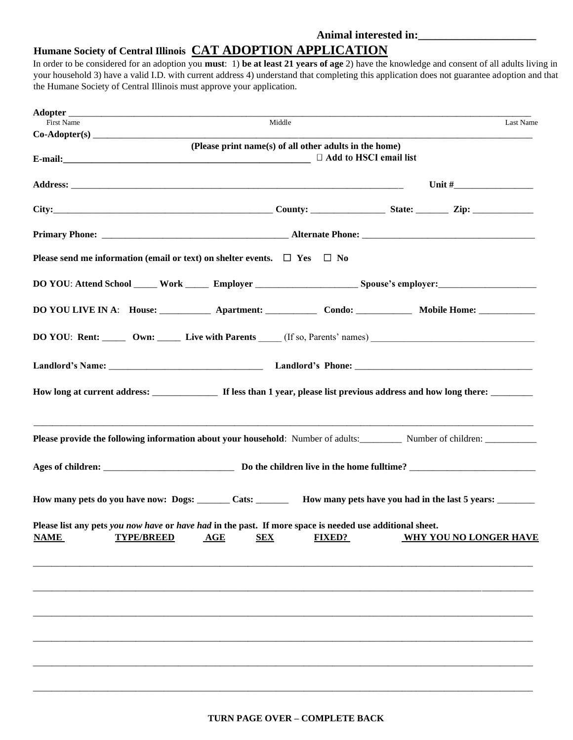## **Humane Society of Central Illinois CAT ADOPTION APPLICATION**

In order to be considered for an adoption you **must**: 1) **be at least 21 years of age** 2) have the knowledge and consent of all adults living in your household 3) have a valid I.D. with current address 4) understand that completing this application does not guarantee adoption and that the Humane Society of Central Illinois must approve your application.

| <b>First Name</b>                                                                                                                                                                                                             |                                                        |                          |                               |
|-------------------------------------------------------------------------------------------------------------------------------------------------------------------------------------------------------------------------------|--------------------------------------------------------|--------------------------|-------------------------------|
|                                                                                                                                                                                                                               | Middle                                                 |                          | Last Name                     |
|                                                                                                                                                                                                                               | (Please print name(s) of all other adults in the home) |                          |                               |
| E-mail: 2008. The contract of the contract of the contract of the contract of the contract of the contract of the contract of the contract of the contract of the contract of the contract of the contract of the contract of |                                                        | □ Add to HSCI email list |                               |
|                                                                                                                                                                                                                               |                                                        |                          |                               |
|                                                                                                                                                                                                                               |                                                        |                          |                               |
|                                                                                                                                                                                                                               |                                                        |                          |                               |
| Please send me information (email or text) on shelter events. $\Box$ Yes $\Box$ No                                                                                                                                            |                                                        |                          |                               |
|                                                                                                                                                                                                                               |                                                        |                          |                               |
| DO YOU LIVE IN A: House: _____________ Apartment: ________________ Condo: _______________ Mobile Home: ____________                                                                                                           |                                                        |                          |                               |
| DO YOU: Rent: _____ Own: _____ Live with Parents ____ (If so, Parents' names) ________________________________                                                                                                                |                                                        |                          |                               |
|                                                                                                                                                                                                                               |                                                        |                          |                               |
|                                                                                                                                                                                                                               |                                                        |                          |                               |
| Please provide the following information about your household: Number of adults: Number of children: _________                                                                                                                |                                                        |                          |                               |
|                                                                                                                                                                                                                               |                                                        |                          |                               |
| How many pets do you have now: Dogs: ______ Cats: _______ How many pets have you had in the last 5 years: ______                                                                                                              |                                                        |                          |                               |
| Please list any pets you now have or have had in the past. If more space is needed use additional sheet.<br><b>TYPE/BREED</b><br><b>NAME</b><br>AGE                                                                           | <b>FIXED?</b><br><b>SEX</b>                            |                          | <b>WHY YOU NO LONGER HAVE</b> |
|                                                                                                                                                                                                                               |                                                        |                          |                               |
|                                                                                                                                                                                                                               |                                                        |                          |                               |
|                                                                                                                                                                                                                               |                                                        |                          |                               |
|                                                                                                                                                                                                                               |                                                        |                          |                               |
|                                                                                                                                                                                                                               |                                                        |                          |                               |

\_\_\_\_\_\_\_\_\_\_\_\_\_\_\_\_\_\_\_\_\_\_\_\_\_\_\_\_\_\_\_\_\_\_\_\_\_\_\_\_\_\_\_\_\_\_\_\_\_\_\_\_\_\_\_\_\_\_\_\_\_\_\_\_\_\_\_\_\_\_\_\_\_\_\_\_\_\_\_\_\_\_\_\_\_\_\_\_\_\_\_\_\_\_\_\_\_\_\_\_\_\_\_\_\_\_\_